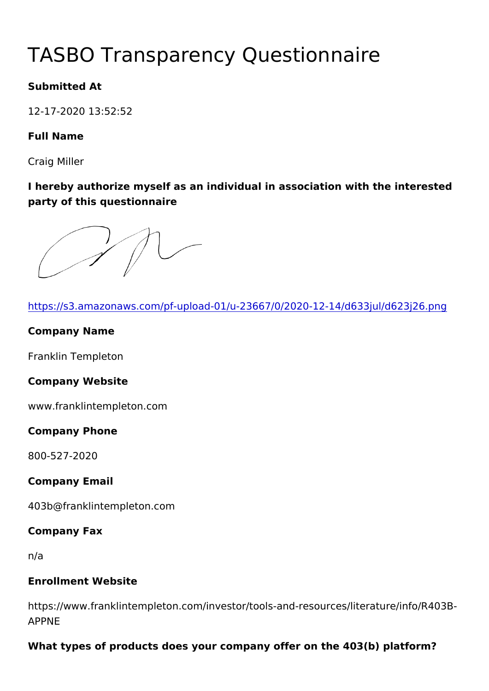# TASBO Transparency Questionna

Submitted At

12-17-2020 13:52:52

Full Name

Craig Miller

I hereby authorize myself as an individual in association with the party of this questionnaire

[https://s3.amazonaws.com/pf-upload-01/u-23667/0/2020-12-](https://s3.amazonaws.com/pf-upload-01/u-23667/0/2020-12-14/d633jul/d623j26.png)14/d63

Company Name

Franklin Templeton

Company Website

www.franklintempleton.com

Company Phone

800-527-2020

Company Email

403b@franklintempleton.com

Company Fax

n/a

Enrollment Website

https://www.franklintempleton.com/investor/tools-and-resources/l APPNE

What types of products does your company offer on the  $403(b)$  platform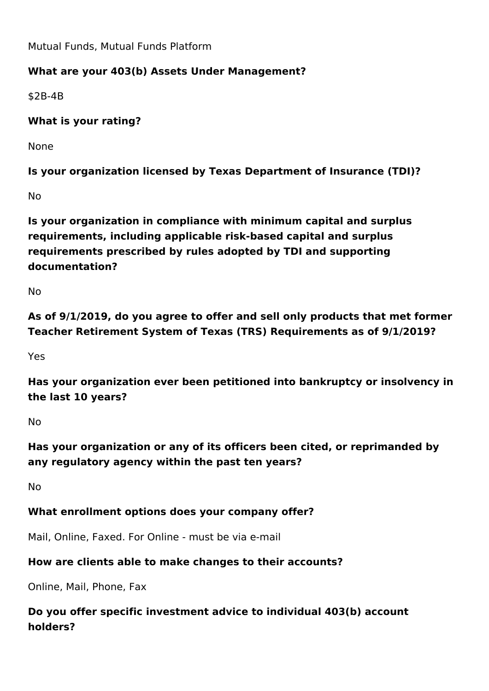Mutual Funds, Mutual Funds Platform

# **What are your 403(b) Assets Under Management?**

\$2B-4B

**What is your rating?** 

None

**Is your organization licensed by Texas Department of Insurance (TDI)?**

No

**Is your organization in compliance with minimum capital and surplus requirements, including applicable risk-based capital and surplus requirements prescribed by rules adopted by TDI and supporting documentation?**

No

**As of 9/1/2019, do you agree to offer and sell only products that met former Teacher Retirement System of Texas (TRS) Requirements as of 9/1/2019?**

Yes

**Has your organization ever been petitioned into bankruptcy or insolvency in the last 10 years?**

No

**Has your organization or any of its officers been cited, or reprimanded by any regulatory agency within the past ten years?**

No

## **What enrollment options does your company offer?**

Mail, Online, Faxed. For Online - must be via e-mail

## **How are clients able to make changes to their accounts?**

Online, Mail, Phone, Fax

**Do you offer specific investment advice to individual 403(b) account holders?**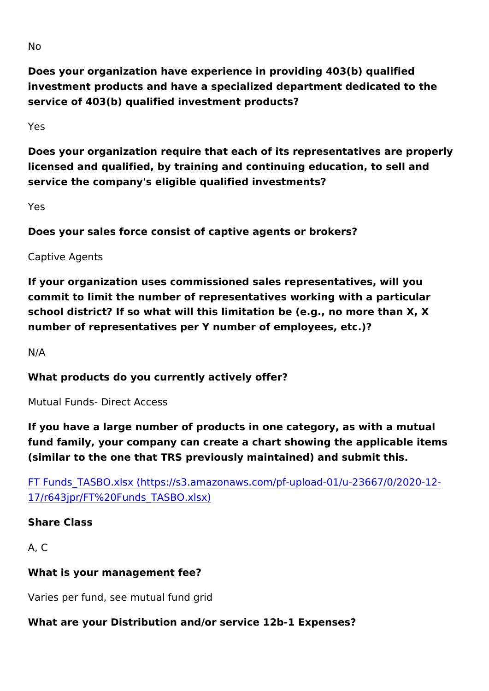No

Does your organization have experience in providing 403(b) quali investment products and have a specialized department dedicated service of 403(b) qualified investment products?

Yes

Does your organization require that each of its representatives a licensed and qualified, by training and continuing education, to s service the company's eligible qualified investments?

#### Yes

Does your sales force consist of captive agents or brokers?

Captive Agents

If your organization uses commissioned sales representatives, wi commit to limit the number of representatives working with a part school district? If so what will this limitation be (e.g., no more than number of representatives per Y number of employees, etc.)?

N/A

What products do you currently actively offer?

Mutual Funds- Direct Access

If you have a large number of products in one category, as with a fund family, your company can create a chart showing the applica (similar to the one that TRS previously maintained) and submit th

[FT Funds\\_TASBO.xlsx \(https://s3.amazonaws.com/pf-upload](https://s3.amazonaws.com/pf-upload-01/u-23667/0/2020-12-17/r643jpr/FT Funds_TASBO.xlsx)-01/u-[17/r643jpr/FT%20Funds\\_T](https://s3.amazonaws.com/pf-upload-01/u-23667/0/2020-12-17/r643jpr/FT Funds_TASBO.xlsx)ASBO.xlsx)

Share Class

A, C

What is your management fee?

Varies per fund, see mutual fund grid

What are your Distribution and/or service 12b-1 Expenses?